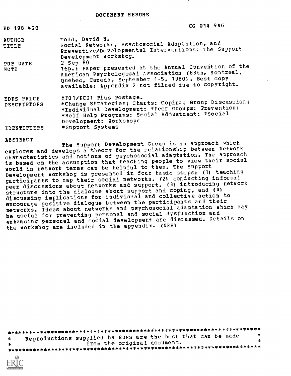| CG 014 |  |  |  | 946 |
|--------|--|--|--|-----|
|--------|--|--|--|-----|

| <b>AUTHOR</b> | Todd. David M.                                                                                                                                                                           |
|---------------|------------------------------------------------------------------------------------------------------------------------------------------------------------------------------------------|
| TITLE         | Social Networks, Psychosocial Adaptation, and<br>Preventive/Developmental Interventions: The Support                                                                                     |
|               | Development Workshop.                                                                                                                                                                    |
| PUE DATE      | $2$ Sep $80$                                                                                                                                                                             |
| NOTE          | 16p.: Paper presented at the Annual Convention of the<br>American Psychological Association (88th, Montreal,<br>Quebec, Canada, September 1-5, 1980). Best copy                          |
|               | available. Appendix 2 not filmed due to copyright.                                                                                                                                       |
| EDRS PRICE    | MF01/PC01 Plus Postage.                                                                                                                                                                  |
| DESCRIPTORS   | *Change Strategies: Charts: Coping: Group Discussion:<br>*Individual Development: *Peer Groups: Prevention:<br>*Self Help Programs; Social Adjustment: *Social<br>Development: Workshops |
| IDENTIFIERS   | *Support Systems                                                                                                                                                                         |

ABSTRACT

ED 198 420

The Support Development Group is an approach which explores and develops a theory for the relationship between network characteristics and notions of psychosocial adaptation. The approach is based on the assumption that teaching people to view their social world in network terms can be helpful to them. The Support Development Workshop is presented in four basic steps: (1) teaching participants to map their social networks, (2) conducting informal peer discussions about networks and support, (3) introducing network structure into the dialogue about support and coping, and (4) discussing implications for indiviaual and collective action to encourage positive dialogue between the participants and their networks. Ideas about networks and psychosocial adaptation which may be useful for preventing personal and social dysfunction and enhancing personal and social development are discussed. Details on the workshop are included in the appendix. (NRB)

Reproductions supplied by EDRS are the best that can be made from the original document. 

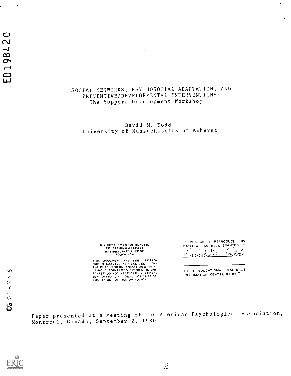## SOCIAL NETWORKS, PSYCHOSOCIAL ADAPTATION, AND PREVENTIVE/DEVELOPMENTAL INTERVENTIONS: The Support Development Workshop

David M. Todd University of Massachusetts at Amherst

> U S DEPARTMENT OF HEALTH. EDUCATION & WELFARE<br>NATIONAL INSTITUTE OF<br>EDUCATION

THIS DOCUMENT HAS BEEN REPRO-<br>DUCED EXACTLY AS RECEIVED FROM<br>THE PERSON OR ORGANIZATION ORIGIN.<br>LING IT POINTS OF VIEW OR OPINIONS<br>STATED DO NOT NECESSARILY REPRE-<br>SENICATION POSITION OR POLICY<br>EDUCATION POSITION OR POLICY

"PERMISSION TO REPRODUCE THIS MATERIAL HAS BEEN GRANTED BY

٠

 $\bullet$ 

 $(avd), \neg a$ 

TO THE EDUCATIONAL RESOURCES INFORMATION CENTER (ERIC).

Paper presented at a Meeting of the American Psychological Association, Montreal, Canada, September<sup>2</sup>, 1980.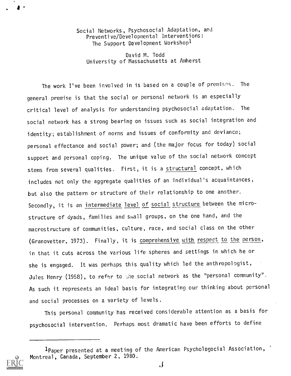Social Networks, Psychosocial Adaptation, and Preventive/Developmental Interventions: The Support Development Workshop<sup>1</sup>

David M. Todd University of Massachusetts at Amherst

The work I've been involved in is based on a couple of premises. The general premise is that the social or personal network is an especially critical level of analysis for understanding psychosocial adaptation. The social network has a strong bearing on issues such as social integration and identity; establishment of norms and issues of conformity and deviance; personal effectance and social power; and (the major focus for today) social support and personal coping. The unique value of the social network concept stems from several qualities. First, it is a structural concept, which includes not only the aggregate qualities of an individual's acquaintances, but also the pattern or structure of their relationship to one another. Secondly, it is an intermediate level of social structure between the microstructure of dyads, families and shall groups, on the one hand, and the macrostructure of communities, culture, race, and social class on the other (Granovetter, 1973). Finally, it is comprehensive with respect to the person, in that it cuts across the various life spheres and settings in which he or she is engaged. It was perhaps this quality which led the anthropologist, Jules Henry (1958), to refer to the social network as the "personal community". As such it represents an ideal basis for integrating our thinking about personal and social processes on a variety of levels.

This personal community has received considerable attention as a basis for psychosocial intervention. Perhaps most dramatic have been efforts to define

<sup>1</sup>Paper presented at a meeting of the American Psychologocial Association, Montreal, Canada, September 2, 1980.



 $\mathbf{A}$  and  $\mathbf{A}$  and  $\mathbf{A}$ 

 $\mathbf{J}$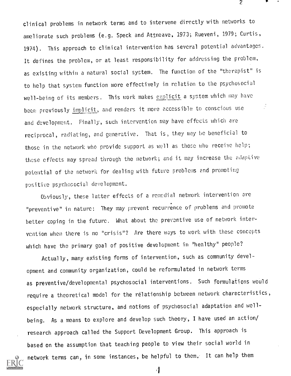clinical problems in network terms and to intervene directly with networks to ameliorate such problems (e.g. Speck and Attneave, 1973; Rueveni, 1979; Curtis, 1974). This approach to clinical intervention has several potential advantages. It defines the problem, or at least responsibility for addressing the problem, as existing within a natural social system. The function of the "therapist" is to help that system function more effectively in relation to the psychosocial well-being of its members. This work makes explicit a system which may have been previously implicit, and renders it more accessible to conscious use and development. Finally, such intervention may have effects which are reciprocal, radiating, and generative. That is, they may he beneficial to those in the network who provide support as well as those who receive help; these effects may spread through the network; and it may increase the adaptive potential of the network for dealing with future problems and promoting positive psychosocial development.

2

Obviously, these latter effects of a remedial network intervention are "preventive" in nature: They may prevent recurrence of problems and promote better coping in the future. What about the preventive use of network intervention when there is no "crisis"? Are there ways to work with these concepts which have the primary goal of positive development in "healthy" people?

Actually, many existing forms of intervention, such as community development and community organization, could be reformulated in network terms as preventive/developmental psychosocial interventions. Such formulations would require a theoretical model for the relationship between network characteristics, especially network structure, and notions of psychosocial adaptation and wellbeing. As a means to explore and develop such theory, I have used an action/ research approach called the Support Development Group. This approach is based on the assumption that teaching people to view their social world in network terms can, in some instances, be helpful to them. It can help them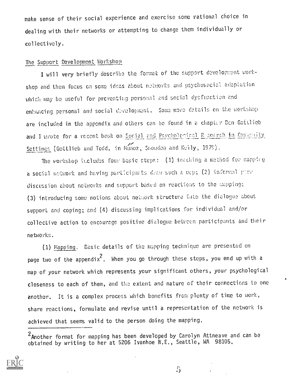make sense of their social experience and exercise some rational choice in dealing with their networks or attempting to change them individually or collectively.

# The Support Development Workshop

I will very briefly describe the format of the support development workshop and then focus on some ideas about networks and psychosocial adaptation which may be useful for preventing personal and social dysfunction and enhancing personal and social development. Some move details on the workshop are included in the appendix and others can be found in a chapter Ben Gottlieb and I wrote for a recent book on Social and Psychological Research in Commenty Settings (Gottlieb and Todd, in Nunoz, Snoudon and Kully, 1979),

The workshop includes four basic steps:  $(1)$  teaching a method for mappirg a social network and having participants draw such a map; (2) informal pier discussion about networks and support based on reactions to the mapping; (3) introducing some notions about network structure into the dialogue about support and coping; and (4) discussing implications for individual and/or collective action to encourage positive dialogue between participants and their networks.

(1) Mapping. Basic details of the mapping technique are presented on page two of the appendix  $^{\mathsf{c}}$ . When you go through these steps, you end up with a map of your network which represents your significant others, your psychological closeness to each of them, and the extent and nature of their connections to one another. It is a complex process which benefits from plenty of time to work, share reactions, formulate and revise until a representation of the network is achieved that seems valid to the person doing the mapping,

<sup>&</sup>lt;sup>2</sup> Another format for mapping has been developed by Carolyn Attneave and can be obtained by writing to her at 5206 Ivanhoe N,E,, Seattle, WA 98105,



 $\ddot{\phantom{a}}$ 

 $\ddot{5}$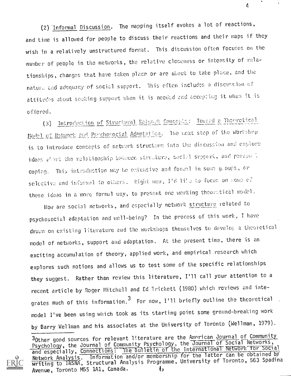(2) Informal Discussion. The mapping itself evokes a lot of reactions, and time is allowed for people to discuss their reactions and their maps if they wish in a relatively unstructured format. This discussion often focuses on the number of people in the networks, the relative closeness or intensity of relationships, changes that have taken place or are about to take place, and the nature and adequacy of social support. This eften includes a discussion of attitudes about seeking support when it is needed and accepting it when it is offered.

Introduction of Structural Relwork Concepts: Toward a Theoretical  $(3)$ Model of Naturark and Psychosocial Adaptation. The next step of the workshep is to introduce concepts of network structure into the discussion and explore ideas about the relationship between struture, social support, and personal coping. This introduction may be extensive and formal in some groups, or selective and informed in others. Right new, I'd like to focus on some of these ideas in a more formel way, to present one working theoretical model.

How are social networks, and especially network structure related to psychosocial adaptation and well-being? In the process of this work, I have drawn on existing literature and the workshops themselves to develop a theoretical model of networks, support and adaptation. At the present time, there is an exciting accumulation of theory, applied work, and empirical research which explores such notions and allows us to test some of the specific relationships they suggest. Rather than review this literature, I'll call your attention to a recent article by Roger Mitchell and Ed Trickett (1980) which reviews and integrates much of this information.<sup>3</sup> For now, I'll briefly outline the theoretical model I've been using which took as its starting point some ground-breaking work by Barry Wellman and his associates at the University of Toronto (Wellman, 1979).

<sup>30</sup>ther good sources for relevant literature are the Amorican Journal of Community Psychology, the Journal of Community Psychology, the Journal of Social Networks, and especially, Connections: The Bulletin of the International Network for Social Network Analysis. Information and/or membership for the latter can be obtained by<br>writing to INSNA, Structural Analysis Programme, University of Toronto, 563 Spadina Avenue, Toronto M5S 1A1, Canada.  $\mathbf{t}$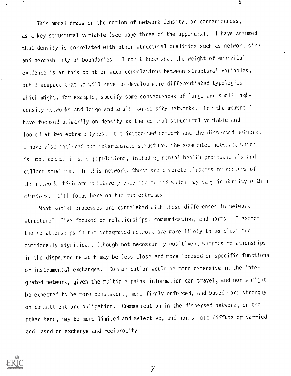This model draws on the notion of network density, or connectedness, as a key structural variable (see page three of the appendix). I have assumed that density is correlated with other structural qualities such as network size and permeability of boundaries. I don't know what the weight of empirical evidence is at this point on such correlations between structural variables, but I suspect that we will have to develop more differentiated typologies which might, for example, specify some consequences of large and small highdensity networks and large and small low-density networks. For the moment I have focused primarily on density as the central structural variable and looked at two extreme types: the integrated network and the dispersed network. I have also included one intermediate structure, the segmented network, which is most common in some populations, including mental health professionals and college students, In this network, there are discrete clusters or sectors of the network which are relatively unconnected and which may vary in density within clusters. I'll focus here on the two extremes.

 $\mathfrak{b}$ 

What social processes are correlated with these differences in network structure? I've focused on relationships. coraunication, and norms. I expect the relationships in the integrated network are more likely to be close and emotionally significant (though not necessarily positive), whereas relationships in the dispersed network may be less close and more focused on specific functional or instrumental exchanges. Communication would be more extensive in the integrated network, given the multiple paths information can travel, and norms might be expected to be more consistent, more firmly enforced, and based more strongly on committment and obligation. Communication in the dispersed network, on the other hand, may be more limited and selective, and norms more diffuse or varried and based on exchange and reciprocity.



 $\gamma$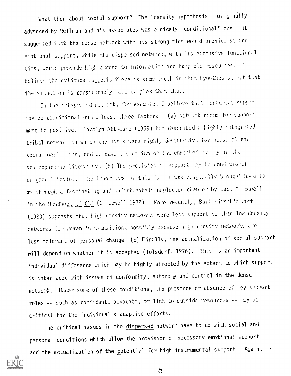What then about social support? The "density hypothesis" originally advanced by Wellman and his associates was a nicely "conditional" one. It suggested that the dense network with its strong ties would provide strong emotional support, while the dispersed network, with its extensive functional ties, would provide high access to information and tangible resources. I believe the evidence suggests there is some truth in that hypothesis, but that the situation is considerably more complex than that.

In the integrated network, for example, I believe that numturent support may be conditional on at least three factors, (a) Network norms for support must be positive. Carolyn Attacave (1969) has described a highly integrated tribal network in which the norms were highly destructive for personal and social well-luring, and we have the notion of the enmeshed fumily in the schizophrenia literature. (b) The prevision of support may be conditional on good behavior. The importance of this factor was criginally brought home to me through a fascinating and unfortunately neglected chapter by Jack Glidewell in the Handbook of CMM (Glidewell, 1972). More recently, Bart Hirsch's work (1980) suggests that high density networks were less supportive than low density networks for woman in transition, possibly because high density networks are less tolerant of personal change. (c) Finally, the actualization of social support will depend on whether it is accepted (Tolsdorf, 1976). This is an important individual difference which may be highly affected by the extent to which support is interlaced with issues of conformity, autonomy and control in the dense network. Under some of these conditions, the presence or absence of key support roles -- such as confidant, advocate, or link to outside resources -- may be critical for the individual's adaptive efforts.

The critical issues in the dispersed network have to do with social and personal conditions which allow the provision of necessary emotional support and the actualization of the potential for high instrumental support. Again,



 $\beta$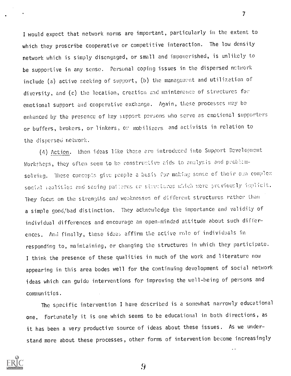I would expect that network norms are important, particularly in the extent to which they proscribe cooperative or competitive interaction. The low density network which is simply disengaged, or small and impoverished, is unlikely to be supportive in any sense. Personal coping issues in the dispersed network include (a) active seeking of support, (b) the management and utilization of diversity, and (c) the location, creation and maintenance of structures for emotional support and cooperative exchange. Again, these processes may be enhanced by the presence of key support persons who serve as emotional supporters or buffers, brokers, or linkers, c) mobilizers and activists in relation to the dispersed network.

 $\mathcal{I}$  and  $\mathcal{I}$ 

(4) Action. When ideas like these are introduced into Support Development Workshops, they often seem to be constructive aids to analysis and problemsolving. These concepts give people a basis for making sense of their own complex social realities and seeing pailerns or streetures which were previously implicit. They focus on the strengths and weaknesses of different structures rather than a simple good/bad distinction. They acknowledge the importance and validity of individual differences and encourage an open-minded attitude about such differences. And finally, these ideas affirm the active role of individuals in responding to, maintaining, or changing the structures in which they participate. I think the presence of these qualities in much of the work and literature now appearing in this area bodes well for the continuing development of social network ideas which can guide interventions for improving the well-being of persons and communities.

The specific intervention I have described is a somewhat narrowly educational one, Fortunately it is one which seems to be educational in both directions, as it has been a very productive source of ideas about these issues. As we understand more about these processes, other forms of intervention become increasingly

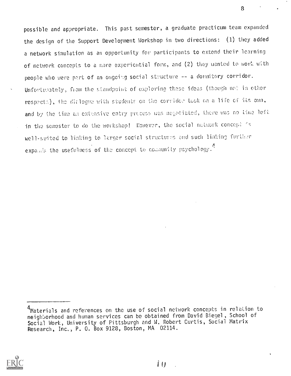possible and appropriate. This past semester, a graduate practicum team expanded the design of the Support Development Workshop in two directions: (1) they added a network simulation as an opportunity for participants to extend their learning of network concepts to a more experiential form, and (2) they wanted to work with people who were part of an ongoing social structure -- a dormitory corridor. Unfortunately, from the standpoint of exploring these ideas (though not in other respecta), the dialogue with students on the corridor took on a life of its own, and by the time an extensive entry process was negotiated, there was no time left in the semester to do the workshop! However, the social nutwork concept is well-suited to linking to larger social structures and such linking further expands the usefulness of the concept to community psychology.<sup>4</sup>



<sup>&</sup>lt;sup>4</sup>Materials and references on the use of social network concepts in relation to neighborhood and human services can be obtained from David Biegel, School of Social Work, University of Pittsburgh and W. Robert Curtis, Social Matrix Research, Inc., P. O. Box 9128, Boston, MA 02114.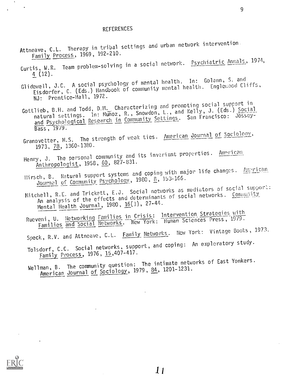#### REFERENCES

- Attneave, C.L. Therapy in tribal settings and urban network intervention. Family Process, 1969, 192-210.
- Curtis, W.R. Team problem-solving in a social network. Psychiatric Annals, 1974,<br>4 (12).  $\frac{4}{12}$  (12).
- Glidewell, J.C. A social psychology of mental health. In: Golann, S. and<br>Glidewell, J.C. A social psychology of community mental health. Englewood Cliffs, Eisdorfer, C. (Eds.) Handbook of community mental health. Englewood Cliffs, NJ: Prentice-Hall, 1972.
- Gottlieb, B.H. and Todd, D.M. Characterizing and promoting social support in natural settings. in: Munoz, R., Snowdon, L., and Kelly, J. (Eds.) Social and Psychological Research in Community Settings. San Francisco: Jossey-<br>Bass, 1979. Bass, 1979.
- Granovetter, M.S. The strength of weak ties. <u>American Journal of Sociology</u>, 1973, 78, 1360-1380.
- Henry, J. The personal community and its invariant properties. American Anthropologist, 1958, 60, 827-831.
- Hirsch, B. Natural support systems and coping with major life changes. American Journal of Community Psychology, 1980, 8, 153-166.
- Mitchell, R.E. and Trickett, E.J. Social networks as mediators of social support: An analysis of the effects and determinants of social networks. Community Mental Health Journal, 1980, 16(1), 27-44.
- Rueveni, U. <u>Networking Families in Crisis: Intervention Strategies with</u><br>Now York: Human Sciences Press, 1979. eni, U. Networking Families ... New York: Human Sciences Press, 1979.<br>Families and Social Networks. New York: Human Sciences Press, 1979.
- Speck, R.V. and Attneave, C.L. Family Networks. New York: Vintage Books, 1973.
- Tolsdorf, C.C. Social networks, support, and coping: An exploratory study. Family Process, 1976, 15,407-417.
- Wellman, B. The community question: The intimate networks of East Yonkers. American Journal of Sociology, 1979, 84, 1201-1231.

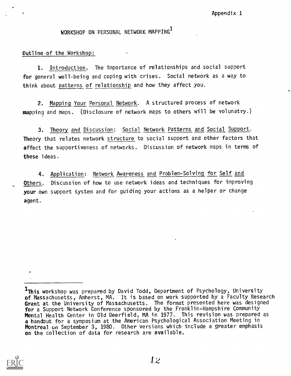# WORKSHOP ON PERSONAL NETWORK MAPPING

Outline of the Workshop:

1. Introduction. The importance of relationships and social support for general well-being and coping with crises. Social network as a way to think about patterns of relationship and how they affect you.

2. Mapping Your Personal Network. A structured process of network mapping and maps. (Disclosure of network maps to others will be volunatry.)

3. Theory and Discussion: Social Network Patterns and Social Support. Theory that relates network structure to social support and other factors that affect the supportiveness of networks. Discussion of network maps in terms of these ideas.

4. Application: Network Awareness and Problem-Solving for Self and Others. Discussion of how to use network ideas and techniques for improving your own support system and for guiding your actions as a helper or change agent.



<sup>1</sup>This workshop was prepared by David Todd, Department of Psychology, University of Massachusetts, Amherst, MA. It is based on work supported by a Faculty Research Grant at the University of Massachusetts. The format presented here was designed for a Support Network Conference sponsored by the Franklin-Hampshire Community Mental Health Center in Old Deerfield, MA in 1977. This revision was prepared as a handout for a symposium at the American Psychological Association Meeting in Montreal on September 3, 1980. Other versions which include a greater emphasis on the collection of data for research are available.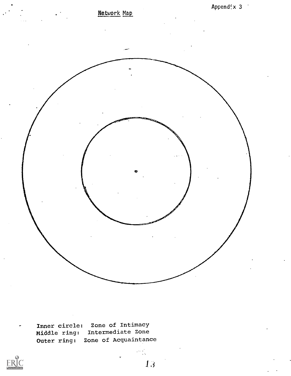

Inner circle: Zone of Intimacy Middle ring: Intermediate Zone Outer ring: Zone of Acquaintance



1 ,1

 $\label{eq:2} \frac{1}{2} \frac{1}{2} \frac{1}{2} \frac{1}{2} \frac{1}{2} \frac{1}{2} \frac{1}{2} \frac{1}{2} \frac{1}{2} \frac{1}{2} \frac{1}{2} \frac{1}{2} \frac{1}{2} \frac{1}{2} \frac{1}{2} \frac{1}{2} \frac{1}{2} \frac{1}{2} \frac{1}{2} \frac{1}{2} \frac{1}{2} \frac{1}{2} \frac{1}{2} \frac{1}{2} \frac{1}{2} \frac{1}{2} \frac{1}{2} \frac{1}{2} \frac{1}{2} \frac{1}{2} \frac{$ 

e i stron

Append;  $\times$  3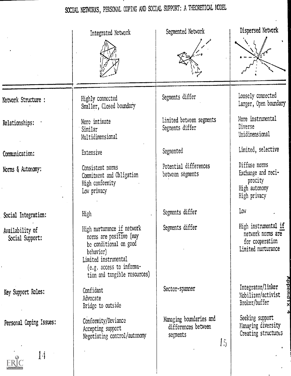# SOCIAL NETWORKS, PERSONAL COPING AND SOCIAL SUPPORT; A THEORETICAL MODEL

|                                    | Integrated Network                                                                                                                                                               | Segmented Network                                                                                      | Dispersed Network                                                                  |
|------------------------------------|----------------------------------------------------------------------------------------------------------------------------------------------------------------------------------|--------------------------------------------------------------------------------------------------------|------------------------------------------------------------------------------------|
|                                    |                                                                                                                                                                                  |                                                                                                        |                                                                                    |
| Network Structure :                | Highly connected<br>Smaller, Closed boundary                                                                                                                                     | Segments differ                                                                                        | Loosely connected<br>Larger, Open boundary                                         |
| Relationships:                     | More intimate<br>Similar<br>Multidimensional                                                                                                                                     | Limited between segments<br>Segments differ                                                            | More instrumental<br>Diverse<br>Unidimensional                                     |
| Communication:                     | Extensive                                                                                                                                                                        | Segmented                                                                                              | Limited, selective                                                                 |
| Norms & Autonomy:                  | Consistent norms<br>Commitment and Obligation<br>High conformity<br>Low privacy                                                                                                  | Potential differences<br>between segments                                                              | Diffuse norms<br>Exchange and reci-<br>procity<br>High autonomy<br>High privacy    |
| Social Integration:                | High                                                                                                                                                                             | Segments differ                                                                                        | Low                                                                                |
| Availability of<br>Social Support: | High nurturance if network<br>norms are positive (may<br>be conditional on good<br>behavior)<br>Limited instrumental<br>(e.g. access to informa-<br>tion and tangible resources) | Segments differ                                                                                        | High instrumental if<br>network norms are<br>for cooperation<br>Limited nurturance |
| Key Support Roles:                 | Confidant<br>Advocate<br>Bridge to outside                                                                                                                                       | Sector-spanner                                                                                         | <u>дррела</u><br>Integrator/linker<br>Mobilizer/activist<br>Broker/buffer          |
| Personal Coping Issues:            | Conformity/Deviance<br>Accepting support<br>Negotiating control/autonomy                                                                                                         | Managing boundaries and<br>differences between<br>segments<br>$\left\lfloor \frac{r}{r} \right\rfloor$ | Seeking support<br>Managing diversity<br>Creating structures                       |
| 14                                 |                                                                                                                                                                                  |                                                                                                        |                                                                                    |

**ERIC**